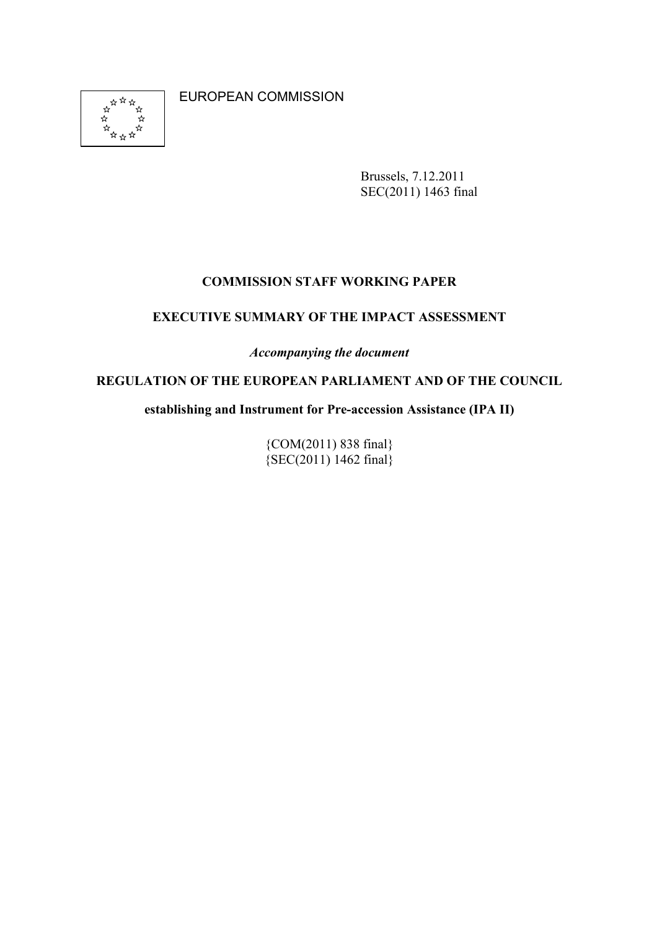**ARTH**<br>XX<br>XX<br>XX<br>XX ่\* ্র

EUROPEAN COMMISSION

Brussels, 7.12.2011 SEC(2011) 1463 final

#### **COMMISSION STAFF WORKING PAPER**

#### **EXECUTIVE SUMMARY OF THE IMPACT ASSESSMENT**

*Accompanying the document* 

#### **REGULATION OF THE EUROPEAN PARLIAMENT AND OF THE COUNCIL**

**establishing and Instrument for Pre-accession Assistance (IPA II)** 

{COM(2011) 838 final}  ${SEC(2011) 1462$  final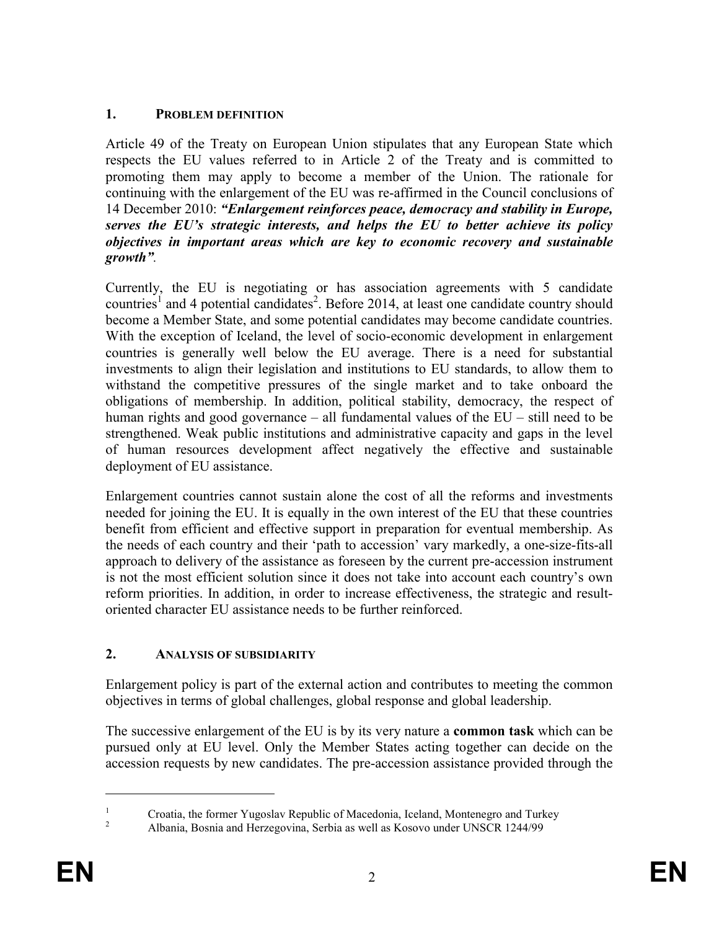# 1. **PROBLEM DEFINITION**

Article 49 of the Treaty on European Union stipulates that any European State which respects the EU values referred to in Article 2 of the Treaty and is committed to promoting them may apply to become a member of the Union. The rationale for continuing with the enlargement of the EU was re-affirmed in the Council conclusions of 14 December 2010: *"Enlargement reinforces peace, democracy and stability in Europe, serves the EU's strategic interests, and helps the EU to better achieve its policy objectives in important areas which are key to economic recovery and sustainable growth".* 

Currently, the EU is negotiating or has association agreements with 5 candidate countries<sup>1</sup> and 4 potential candidates<sup>2</sup>. Before 2014, at least one candidate country should become a Member State, and some potential candidates may become candidate countries. With the exception of Iceland, the level of socio-economic development in enlargement countries is generally well below the EU average. There is a need for substantial investments to align their legislation and institutions to EU standards, to allow them to withstand the competitive pressures of the single market and to take onboard the obligations of membership. In addition, political stability, democracy, the respect of human rights and good governance – all fundamental values of the EU – still need to be strengthened. Weak public institutions and administrative capacity and gaps in the level of human resources development affect negatively the effective and sustainable deployment of EU assistance.

Enlargement countries cannot sustain alone the cost of all the reforms and investments needed for joining the EU. It is equally in the own interest of the EU that these countries benefit from efficient and effective support in preparation for eventual membership. As the needs of each country and their 'path to accession' vary markedly, a one-size-fits-all approach to delivery of the assistance as foreseen by the current pre-accession instrument is not the most efficient solution since it does not take into account each country's own reform priorities. In addition, in order to increase effectiveness, the strategic and resultoriented character EU assistance needs to be further reinforced.

# **2. AALYSIS OF SUBSIDIARITY**

Enlargement policy is part of the external action and contributes to meeting the common objectives in terms of global challenges, global response and global leadership.

The successive enlargement of the EU is by its very nature a **common task** which can be pursued only at EU level. Only the Member States acting together can decide on the accession requests by new candidates. The pre-accession assistance provided through the

-

<sup>1</sup> Croatia, the former Yugoslav Republic of Macedonia, Iceland, Montenegro and Turkey

<sup>2</sup> Albania, Bosnia and Herzegovina, Serbia as well as Kosovo under UNSCR 1244/99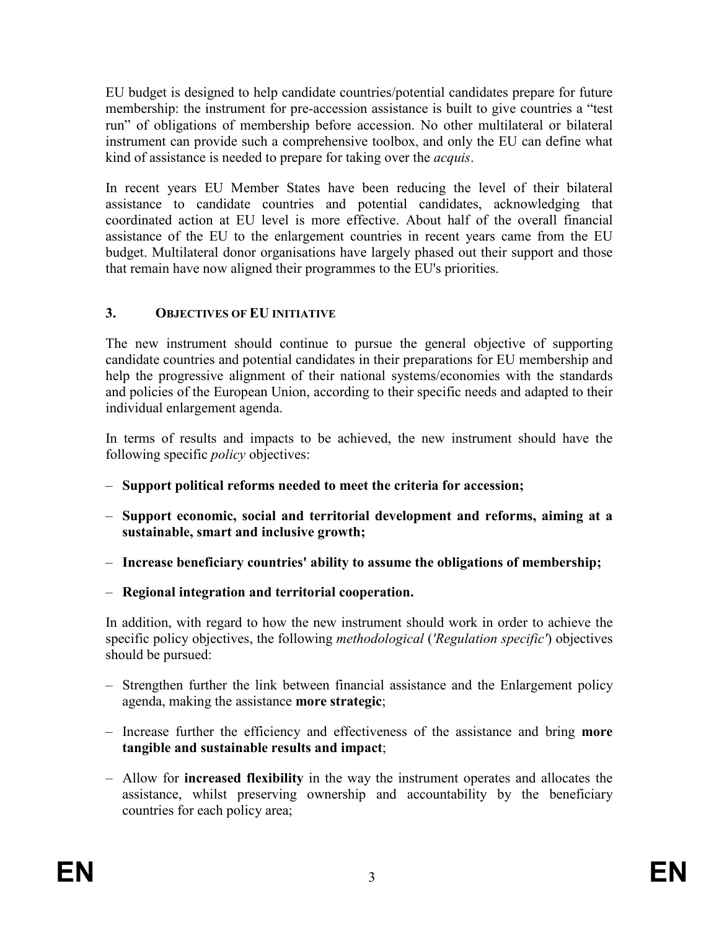EU budget is designed to help candidate countries/potential candidates prepare for future membership: the instrument for pre-accession assistance is built to give countries a "test run" of obligations of membership before accession. No other multilateral or bilateral instrument can provide such a comprehensive toolbox, and only the EU can define what kind of assistance is needed to prepare for taking over the *acquis*.

In recent years EU Member States have been reducing the level of their bilateral assistance to candidate countries and potential candidates, acknowledging that coordinated action at EU level is more effective. About half of the overall financial assistance of the EU to the enlargement countries in recent years came from the EU budget. Multilateral donor organisations have largely phased out their support and those that remain have now aligned their programmes to the EU's priorities.

# **3. OBJECTIVES OF EU IITIATIVE**

The new instrument should continue to pursue the general objective of supporting candidate countries and potential candidates in their preparations for EU membership and help the progressive alignment of their national systems/economies with the standards and policies of the European Union, according to their specific needs and adapted to their individual enlargement agenda.

In terms of results and impacts to be achieved, the new instrument should have the following specific *policy* objectives:

- **Support political reforms needed to meet the criteria for accession;**
- **Support economic, social and territorial development and reforms, aiming at a sustainable, smart and inclusive growth;**
- **Increase beneficiary countries' ability to assume the obligations of membership;**
- **Regional integration and territorial cooperation.**

In addition, with regard to how the new instrument should work in order to achieve the specific policy objectives, the following *methodological* (*'Regulation specific'*) objectives should be pursued:

- Strengthen further the link between financial assistance and the Enlargement policy agenda, making the assistance **more strategic**;
- Increase further the efficiency and effectiveness of the assistance and bring **more tangible and sustainable results and impact**;
- Allow for **increased flexibility** in the way the instrument operates and allocates the assistance, whilst preserving ownership and accountability by the beneficiary countries for each policy area;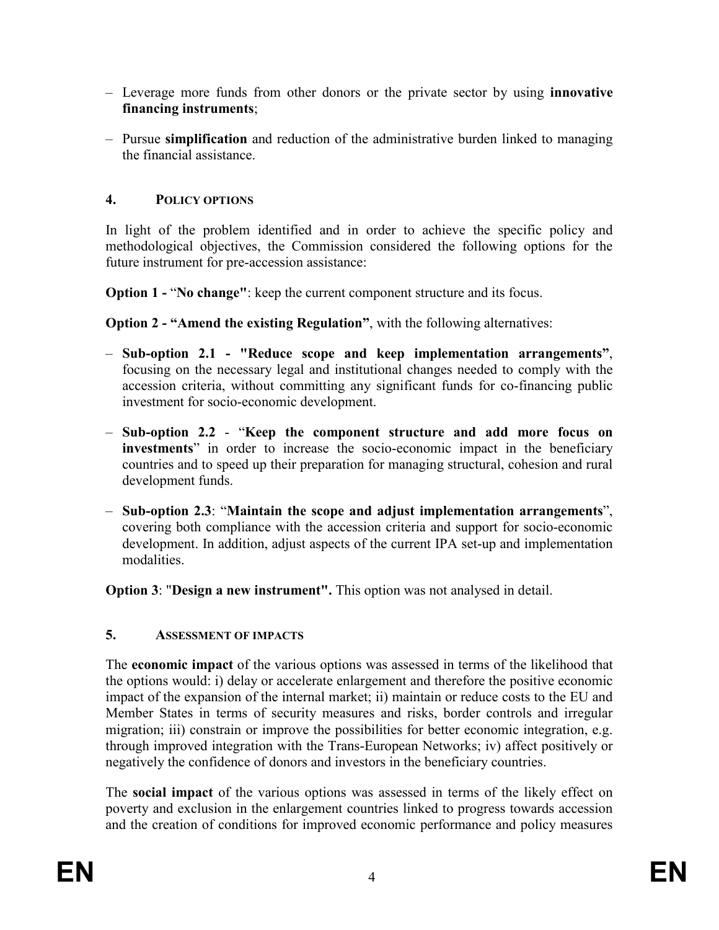- Leverage more funds from other donors or the private sector by using **innovative financing instruments**;
- Pursue **simplification** and reduction of the administrative burden linked to managing the financial assistance.

### **4. POLICY OPTIOS**

In light of the problem identified and in order to achieve the specific policy and methodological objectives, the Commission considered the following options for the future instrument for pre-accession assistance:

**Option 1 - "No change"**: keep the current component structure and its focus.

**Option 2 - "Amend the existing Regulation"**, with the following alternatives:

- **Sub-option 2.1 "Reduce scope and keep implementation arrangements"**, focusing on the necessary legal and institutional changes needed to comply with the accession criteria, without committing any significant funds for co-financing public investment for socio-economic development.
- **Sub-option 2.2**  "**Keep the component structure and add more focus on investments**" in order to increase the socio-economic impact in the beneficiary countries and to speed up their preparation for managing structural, cohesion and rural development funds.
- **Sub-option 2.3**: "**Maintain the scope and adjust implementation arrangements**", covering both compliance with the accession criteria and support for socio-economic development. In addition, adjust aspects of the current IPA set-up and implementation modalities.

**Option 3**: "**Design a new instrument".** This option was not analysed in detail.

# **5. ASSESSMET OF IMPACTS**

The **economic impact** of the various options was assessed in terms of the likelihood that the options would: i) delay or accelerate enlargement and therefore the positive economic impact of the expansion of the internal market; ii) maintain or reduce costs to the EU and Member States in terms of security measures and risks, border controls and irregular migration; iii) constrain or improve the possibilities for better economic integration, e.g. through improved integration with the Trans-European Networks; iv) affect positively or negatively the confidence of donors and investors in the beneficiary countries.

The **social impact** of the various options was assessed in terms of the likely effect on poverty and exclusion in the enlargement countries linked to progress towards accession and the creation of conditions for improved economic performance and policy measures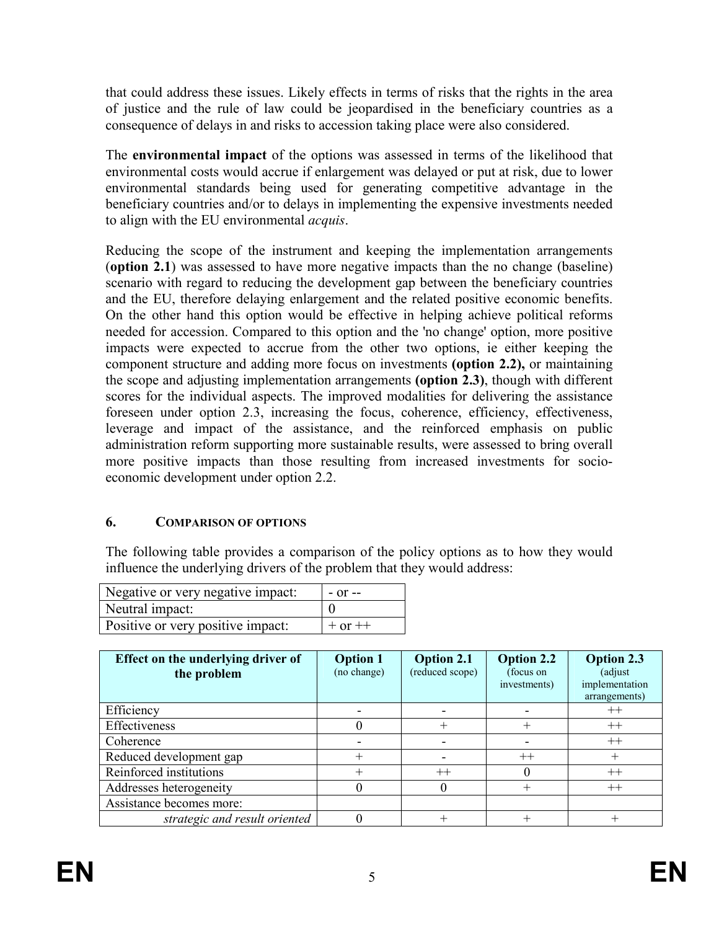that could address these issues. Likely effects in terms of risks that the rights in the area of justice and the rule of law could be jeopardised in the beneficiary countries as a consequence of delays in and risks to accession taking place were also considered.

The **environmental impact** of the options was assessed in terms of the likelihood that environmental costs would accrue if enlargement was delayed or put at risk, due to lower environmental standards being used for generating competitive advantage in the beneficiary countries and/or to delays in implementing the expensive investments needed to align with the EU environmental *acquis*.

Reducing the scope of the instrument and keeping the implementation arrangements (**option 2.1**) was assessed to have more negative impacts than the no change (baseline) scenario with regard to reducing the development gap between the beneficiary countries and the EU, therefore delaying enlargement and the related positive economic benefits. On the other hand this option would be effective in helping achieve political reforms needed for accession. Compared to this option and the 'no change' option, more positive impacts were expected to accrue from the other two options, ie either keeping the component structure and adding more focus on investments **(option 2.2),** or maintaining the scope and adjusting implementation arrangements **(option 2.3)**, though with different scores for the individual aspects. The improved modalities for delivering the assistance foreseen under option 2.3, increasing the focus, coherence, efficiency, effectiveness, leverage and impact of the assistance, and the reinforced emphasis on public administration reform supporting more sustainable results, were assessed to bring overall more positive impacts than those resulting from increased investments for socioeconomic development under option 2.2.

# **6. COMPARISON OF OPTIONS**

The following table provides a comparison of the policy options as to how they would influence the underlying drivers of the problem that they would address:

| Negative or very negative impact: | $-$ or $-$  |
|-----------------------------------|-------------|
| Neutral impact:                   |             |
| Positive or very positive impact: | $+$ or $++$ |
|                                   |             |

| Effect on the underlying driver of<br>the problem | <b>Option 1</b><br>(no change) | <b>Option 2.1</b><br>(reduced scope) | <b>Option 2.2</b><br>(focus on<br>investments) | <b>Option 2.3</b><br>(adjust<br>implementation<br>arrangements) |
|---------------------------------------------------|--------------------------------|--------------------------------------|------------------------------------------------|-----------------------------------------------------------------|
| Efficiency                                        |                                |                                      |                                                | $^{++}$                                                         |
| Effectiveness                                     |                                |                                      |                                                | $^{++}$                                                         |
| Coherence                                         |                                |                                      |                                                | $++$                                                            |
| Reduced development gap                           | ┿                              |                                      | $^{++}$                                        | $\, +$                                                          |
| Reinforced institutions                           |                                | $^{++}$                              |                                                | $++$                                                            |
| Addresses heterogeneity                           |                                |                                      |                                                | $++$                                                            |
| Assistance becomes more:                          |                                |                                      |                                                |                                                                 |
| strategic and result oriented                     |                                |                                      |                                                |                                                                 |